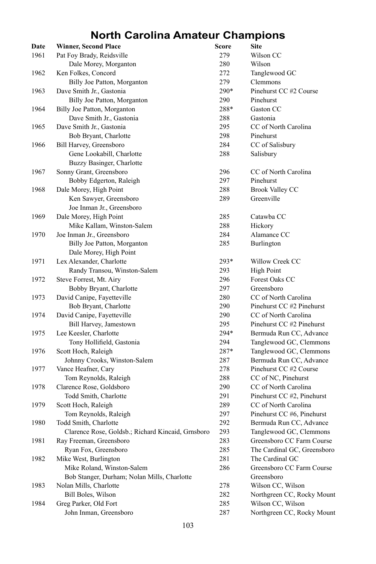## **North Carolina Amateur Champions**

| Date | <b>Winner, Second Place</b>                       | Score | Site                        |
|------|---------------------------------------------------|-------|-----------------------------|
| 1961 | Pat Foy Brady, Reidsville                         | 279   | Wilson CC                   |
|      | Dale Morey, Morganton                             | 280   | Wilson                      |
| 1962 | Ken Folkes, Concord                               | 272   | Tanglewood GC               |
|      | Billy Joe Patton, Morganton                       | 279   | Clemmons                    |
| 1963 | Dave Smith Jr., Gastonia                          | 290*  | Pinehurst CC #2 Course      |
|      | Billy Joe Patton, Morganton                       | 290   | Pinehurst                   |
| 1964 | Billy Joe Patton, Morganton                       | 288*  | Gaston CC                   |
|      | Dave Smith Jr., Gastonia                          | 288   | Gastonia                    |
| 1965 | Dave Smith Jr., Gastonia                          | 295   | CC of North Carolina        |
|      | Bob Bryant, Charlotte                             | 298   | Pinehurst                   |
| 1966 | Bill Harvey, Greensboro                           | 284   | CC of Salisbury             |
|      | Gene Lookabill, Charlotte                         | 288   | Salisbury                   |
|      | Buzzy Basinger, Charlotte                         |       |                             |
| 1967 | Sonny Grant, Greensboro                           | 296   | CC of North Carolina        |
|      | Bobby Edgerton, Raleigh                           | 297   | Pinehurst                   |
| 1968 | Dale Morey, High Point                            | 288   | <b>Brook Valley CC</b>      |
|      | Ken Sawyer, Greensboro                            | 289   | Greenville                  |
|      | Joe Inman Jr., Greensboro                         |       |                             |
|      | Dale Morey, High Point                            |       |                             |
| 1969 | Mike Kallam, Winston-Salem                        | 285   | Catawba CC                  |
|      |                                                   | 288   | Hickory                     |
| 1970 | Joe Inman Jr., Greensboro                         | 284   | Alamance CC                 |
|      | Billy Joe Patton, Morganton                       | 285   | Burlington                  |
|      | Dale Morey, High Point                            |       |                             |
| 1971 | Lex Alexander, Charlotte                          | 293*  | Willow Creek CC             |
|      | Randy Transou, Winston-Salem                      | 293   | <b>High Point</b>           |
| 1972 | Steve Forrest, Mt. Airy                           | 296   | Forest Oaks CC              |
|      | Bobby Bryant, Charlotte                           | 297   | Greensboro                  |
| 1973 | David Canipe, Fayetteville                        | 280   | CC of North Carolina        |
|      | Bob Bryant, Charlotte                             | 290   | Pinehurst CC #2 Pinehurst   |
| 1974 | David Canipe, Fayetteville                        | 290   | CC of North Carolina        |
|      | <b>Bill Harvey</b> , Jamestown                    | 295   | Pinehurst CC #2 Pinehurst   |
| 1975 | Lee Keesler, Charlotte                            | 294*  | Bermuda Run CC, Advance     |
|      | Tony Hollifield, Gastonia                         | 294   | Tanglewood GC, Clemmons     |
| 1976 | Scott Hoch, Raleigh                               | 287*  | Tanglewood GC, Clemmons     |
|      | Johnny Crooks, Winston-Salem                      | 287   | Bermuda Run CC, Advance     |
| 1977 | Vance Heafner, Cary                               | 278   | Pinehurst CC #2 Course      |
|      | Tom Reynolds, Raleigh                             | 288   | CC of NC, Pinehurst         |
| 1978 | Clarence Rose, Goldsboro                          | 290   | CC of North Carolina        |
|      | Todd Smith, Charlotte                             | 291   | Pinehurst CC #2, Pinehurst  |
| 1979 | Scott Hoch, Raleigh                               | 289   | CC of North Carolina        |
|      | Tom Reynolds, Raleigh                             | 297   | Pinehurst CC #6, Pinehurst  |
| 1980 | Todd Smith, Charlotte                             | 292   | Bermuda Run CC, Advance     |
|      | Clarence Rose, Goldsb.; Richard Kincaid, Grnsboro | 293   | Tanglewood GC, Clemmons     |
| 1981 | Ray Freeman, Greensboro                           | 283   | Greensboro CC Farm Course   |
|      | Ryan Fox, Greensboro                              | 285   | The Cardinal GC, Greensboro |
| 1982 | Mike West, Burlington                             | 281   | The Cardinal GC             |
|      | Mike Roland, Winston-Salem                        | 286   | Greensboro CC Farm Course   |
|      | Bob Stanger, Durham; Nolan Mills, Charlotte       |       | Greensboro                  |
| 1983 | Nolan Mills, Charlotte                            | 278   | Wilson CC, Wilson           |
|      | Bill Boles, Wilson                                | 282   | Northgreen CC, Rocky Mount  |
| 1984 | Greg Parker, Old Fort                             | 285   | Wilson CC, Wilson           |
|      | John Inman, Greensboro                            | 287   | Northgreen CC, Rocky Mount  |
|      |                                                   |       |                             |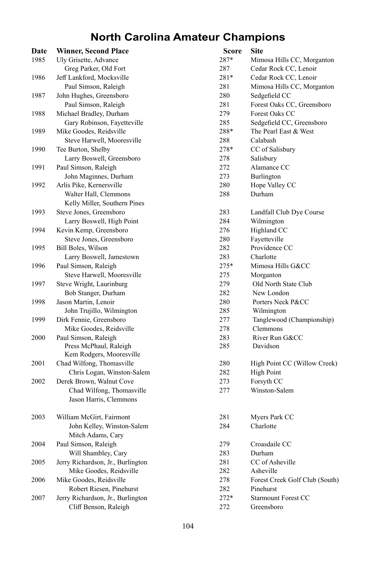## **North Carolina Amateur Champions**

| Date | <b>Winner, Second Place</b>       | Score  | <b>Site</b>                    |
|------|-----------------------------------|--------|--------------------------------|
| 1985 | Uly Grisette, Advance             | 287*   | Mimosa Hills CC, Morganton     |
|      | Greg Parker, Old Fort             | 287    | Cedar Rock CC, Lenoir          |
| 1986 | Jeff Lankford, Mocksville         | $281*$ | Cedar Rock CC, Lenoir          |
|      | Paul Simson, Raleigh              | 281    | Mimosa Hills CC, Morganton     |
| 1987 | John Hughes, Greensboro           | 280    | Sedgefield CC                  |
|      | Paul Simson, Raleigh              | 281    | Forest Oaks CC, Greensboro     |
| 1988 | Michael Bradley, Durham           | 279    | Forest Oaks CC                 |
|      | Gary Robinson, Fayetteville       | 285    | Sedgefield CC, Greensboro      |
| 1989 | Mike Goodes, Reidsville           | 288*   | The Pearl East & West          |
|      | Steve Harwell, Mooresville        | 288    | Calabash                       |
| 1990 | Tee Burton, Shelby                | 278*   | CC of Salisbury                |
|      | Larry Boswell, Greensboro         | 278    | Salisbury                      |
| 1991 | Paul Simson, Raleigh              | 272    | Alamance CC                    |
|      | John Maginnes, Durham             | 273    | Burlington                     |
| 1992 | Arlis Pike, Kernersville          | 280    | Hope Valley CC                 |
|      | Walter Hall, Clemmons             | 288    | Durham                         |
|      | Kelly Miller, Southern Pines      |        |                                |
| 1993 | Steve Jones, Greensboro           | 283    | Landfall Club Dye Course       |
|      | Larry Boswell, High Point         | 284    | Wilmington                     |
| 1994 | Kevin Kemp, Greensboro            | 276    | Highland CC                    |
|      | Steve Jones, Greensboro           | 280    | Fayetteville                   |
| 1995 | Bill Boles, Wilson                | 282    | Providence CC                  |
|      | Larry Boswell, Jamestown          | 283    | Charlotte                      |
| 1996 | Paul Simson, Raleigh              | 275*   | Mimosa Hills G&CC              |
|      | Steve Harwell, Mooresville        | 275    | Morganton                      |
| 1997 | Steve Wright, Laurinburg          | 279    | Old North State Club           |
|      | Bob Stanger, Durham               | 282    | New London                     |
| 1998 | Jason Martin, Lenoir              | 280    | Porters Neck P&CC              |
|      | John Trujillo, Wilmington         | 285    | Wilmington                     |
| 1999 | Dirk Fennie, Greensboro           | 277    | Tanglewood (Championship)      |
|      | Mike Goodes, Reidsville           | 278    | Clemmons                       |
| 2000 | Paul Simson, Raleigh              | 283    | River Run G&CC                 |
|      | Press McPhaul, Raleigh            | 285    | Davidson                       |
|      | Kem Rodgers, Mooresville          |        |                                |
| 2001 | Chad Wilfong, Thomasville         | 280    | High Point CC (Willow Creek)   |
|      | Chris Logan, Winston-Salem        | 282    | High Point                     |
| 2002 | Derek Brown, Walnut Cove          | 273    | Forsyth CC                     |
|      | Chad Wilfong, Thomasville         | 277    | Winston-Salem                  |
|      | Jason Harris, Clemmons            |        |                                |
| 2003 | William McGirt, Fairmont          | 281    | Myers Park CC                  |
|      | John Kelley, Winston-Salem        | 284    | Charlotte                      |
|      | Mitch Adams, Cary                 |        |                                |
| 2004 | Paul Simson, Raleigh              | 279    | Croasdaile CC                  |
|      | Will Shambley, Cary               | 283    | Durham                         |
| 2005 | Jerry Richardson, Jr., Burlington | 281    | CC of Asheville                |
|      | Mike Goodes, Reidsville           | 282    | Asheville                      |
| 2006 | Mike Goodes, Reidsville           | 278    | Forest Creek Golf Club (South) |
|      | Robert Riesen, Pinehurst          | 282    | Pinehurst                      |
| 2007 | Jerry Richardson, Jr., Burlington | $272*$ | <b>Starmount Forest CC</b>     |
|      | Cliff Benson, Raleigh             | 272    | Greensboro                     |